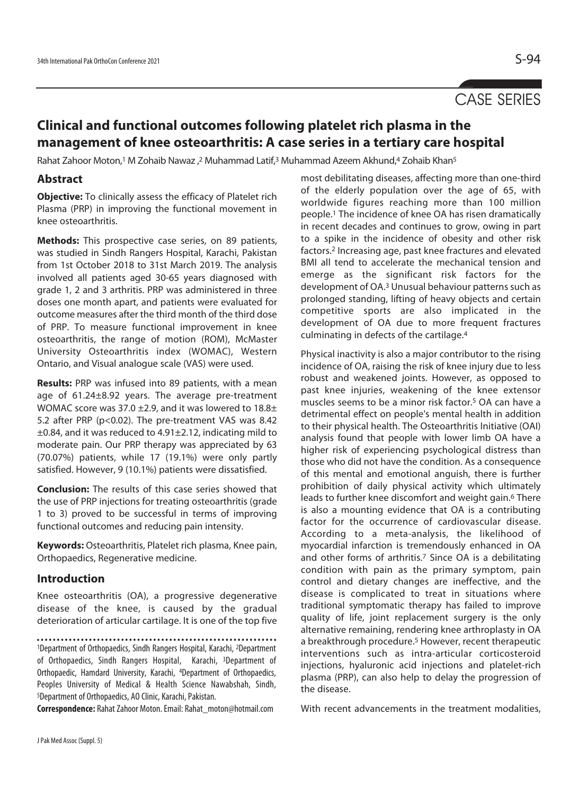# CASE SERIES

## **Clinical and functional outcomes following platelet rich plasma in the management of knee osteoarthritis: A case series in a tertiary care hospital**

Rahat Zahoor Moton,<sup>1</sup> M Zohaib Nawaz ,<sup>2</sup> Muhammad Latif,<sup>3</sup> Muhammad Azeem Akhund,4 Zohaib Khan<sup>5</sup>

#### **Abstract**

**Objective:** To clinically assess the efficacy of Platelet rich Plasma (PRP) in improving the functional movement in knee osteoarthritis.

**Methods:** This prospective case series, on 89 patients, was studied in Sindh Rangers Hospital, Karachi, Pakistan from 1st October 2018 to 31st March 2019. The analysis involved all patients aged 30-65 years diagnosed with grade 1, 2 and 3 arthritis. PRP was administered in three doses one month apart, and patients were evaluated for outcome measures after the third month of the third dose of PRP. To measure functional improvement in knee osteoarthritis, the range of motion (ROM), McMaster University Osteoarthritis index (WOMAC), Western Ontario, and Visual analogue scale (VAS) were used.

**Results:** PRP was infused into 89 patients, with a mean age of 61.24±8.92 years. The average pre-treatment WOMAC score was 37.0  $\pm$ 2.9, and it was lowered to 18.8 $\pm$ 5.2 after PRP (p<0.02). The pre-treatment VAS was 8.42 ±0.84, and it was reduced to 4.91±2.12, indicating mild to moderate pain. Our PRP therapy was appreciated by 63 (70.07%) patients, while 17 (19.1%) were only partly satisfied. However, 9 (10.1%) patients were dissatisfied.

**Conclusion:** The results of this case series showed that the use of PRP injections for treating osteoarthritis (grade 1 to 3) proved to be successful in terms of improving functional outcomes and reducing pain intensity.

**Keywords:** Osteoarthritis, Platelet rich plasma, Knee pain, Orthopaedics, Regenerative medicine.

## **Introduction**

Knee osteoarthritis (OA), a progressive degenerative disease of the knee, is caused by the gradual deterioration of articular cartilage. It is one of the top five

1Department of Orthopaedics, Sindh Rangers Hospital, Karachi, 2Department of Orthopaedics, Sindh Rangers Hospital, Karachi, 3Department of Orthopaedic, Hamdard University, Karachi, 4Department of Orthopaedics, Peoples University of Medical & Health Science Nawabshah, Sindh, 5Department of Orthopaedics, AO Clinic, Karachi, Pakistan.

**Correspondence:** Rahat Zahoor Moton. Email: Rahat\_moton@hotmail.com

most debilitating diseases, affecting more than one-third of the elderly population over the age of 65, with worldwide figures reaching more than 100 million people.1 The incidence of knee OA has risen dramatically in recent decades and continues to grow, owing in part to a spike in the incidence of obesity and other risk factors.2 Increasing age, past knee fractures and elevated BMI all tend to accelerate the mechanical tension and emerge as the significant risk factors for the development of OA.3 Unusual behaviour patterns such as prolonged standing, lifting of heavy objects and certain competitive sports are also implicated in the development of OA due to more frequent fractures culminating in defects of the cartilage.4

Physical inactivity is also a major contributor to the rising incidence of OA, raising the risk of knee injury due to less robust and weakened joints. However, as opposed to past knee injuries, weakening of the knee extensor muscles seems to be a minor risk factor.5 OA can have a detrimental effect on people's mental health in addition to their physical health. The Osteoarthritis Initiative (OAI) analysis found that people with lower limb OA have a higher risk of experiencing psychological distress than those who did not have the condition. As a consequence of this mental and emotional anguish, there is further prohibition of daily physical activity which ultimately leads to further knee discomfort and weight gain.<sup>6</sup> There is also a mounting evidence that OA is a contributing factor for the occurrence of cardiovascular disease. According to a meta-analysis, the likelihood of myocardial infarction is tremendously enhanced in OA and other forms of arthritis.<sup>7</sup> Since OA is a debilitating condition with pain as the primary symptom, pain control and dietary changes are ineffective, and the disease is complicated to treat in situations where traditional symptomatic therapy has failed to improve quality of life, joint replacement surgery is the only alternative remaining, rendering knee arthroplasty in OA a breakthrough procedure.<sup>5</sup> However, recent therapeutic interventions such as intra-articular corticosteroid injections, hyaluronic acid injections and platelet-rich plasma (PRP), can also help to delay the progression of the disease.

With recent advancements in the treatment modalities,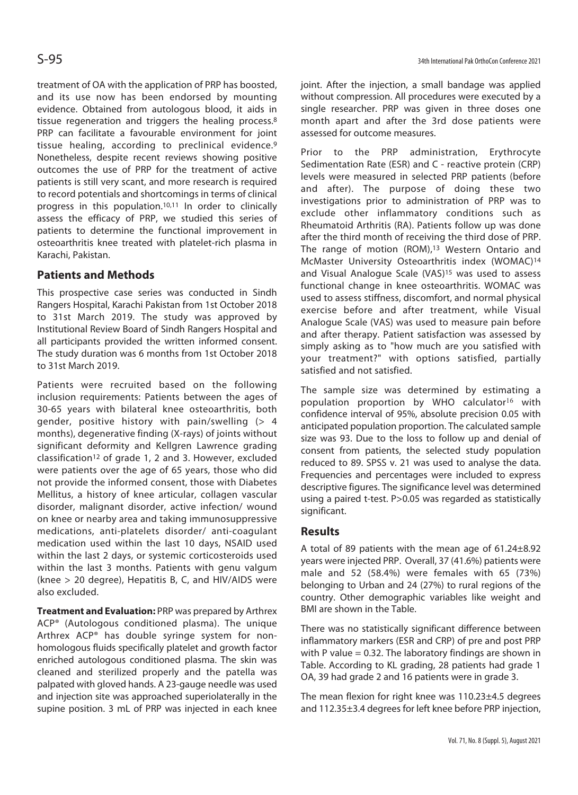treatment of OA with the application of PRP has boosted, and its use now has been endorsed by mounting evidence. Obtained from autologous blood, it aids in tissue regeneration and triggers the healing process.8 PRP can facilitate a favourable environment for joint tissue healing, according to preclinical evidence.9 Nonetheless, despite recent reviews showing positive outcomes the use of PRP for the treatment of active patients is still very scant, and more research is required to record potentials and shortcomings in terms of clinical progress in this population.10,11 In order to clinically assess the efficacy of PRP, we studied this series of patients to determine the functional improvement in osteoarthritis knee treated with platelet-rich plasma in Karachi, Pakistan.

## **Patients and Methods**

This prospective case series was conducted in Sindh Rangers Hospital, Karachi Pakistan from 1st October 2018 to 31st March 2019. The study was approved by Institutional Review Board of Sindh Rangers Hospital and all participants provided the written informed consent. The study duration was 6 months from 1st October 2018 to 31st March 2019.

Patients were recruited based on the following inclusion requirements: Patients between the ages of 30-65 years with bilateral knee osteoarthritis, both gender, positive history with pain/swelling  $(> 4)$ months), degenerative finding (X-rays) of joints without significant deformity and Kellgren Lawrence grading classification<sup>12</sup> of grade 1, 2 and 3. However, excluded were patients over the age of 65 years, those who did not provide the informed consent, those with Diabetes Mellitus, a history of knee articular, collagen vascular disorder, malignant disorder, active infection/ wound on knee or nearby area and taking immunosuppressive medications, anti-platelets disorder/ anti-coagulant medication used within the last 10 days, NSAID used within the last 2 days, or systemic corticosteroids used within the last 3 months. Patients with genu valgum (knee > 20 degree), Hepatitis B, C, and HIV/AIDS were also excluded.

**Treatment and Evaluation:** PRP was prepared by Arthrex ACP® (Autologous conditioned plasma). The unique Arthrex ACP® has double syringe system for nonhomologous fluids specifically platelet and growth factor enriched autologous conditioned plasma. The skin was cleaned and sterilized properly and the patella was palpated with gloved hands. A 23-gauge needle was used and injection site was approached superiolaterally in the supine position. 3 mL of PRP was injected in each knee

joint. After the injection, a small bandage was applied without compression. All procedures were executed by a single researcher. PRP was given in three doses one month apart and after the 3rd dose patients were assessed for outcome measures.

Prior to the PRP administration, Erythrocyte Sedimentation Rate (ESR) and C - reactive protein (CRP) levels were measured in selected PRP patients (before and after). The purpose of doing these two investigations prior to administration of PRP was to exclude other inflammatory conditions such as Rheumatoid Arthritis (RA). Patients follow up was done after the third month of receiving the third dose of PRP. The range of motion (ROM),<sup>13</sup> Western Ontario and McMaster University Osteoarthritis index (WOMAC)14 and Visual Analogue Scale (VAS)15 was used to assess functional change in knee osteoarthritis. WOMAC was used to assess stiffness, discomfort, and normal physical exercise before and after treatment, while Visual Analogue Scale (VAS) was used to measure pain before and after therapy. Patient satisfaction was assessed by simply asking as to "how much are you satisfied with your treatment?" with options satisfied, partially satisfied and not satisfied.

The sample size was determined by estimating a population proportion by WHO calculator<sup>16</sup> with confidence interval of 95%, absolute precision 0.05 with anticipated population proportion. The calculated sample size was 93. Due to the loss to follow up and denial of consent from patients, the selected study population reduced to 89. SPSS v. 21 was used to analyse the data. Frequencies and percentages were included to express descriptive figures. The significance level was determined using a paired t-test. P>0.05 was regarded as statistically significant.

## **Results**

A total of 89 patients with the mean age of 61.24±8.92 years were injected PRP. Overall, 37 (41.6%) patients were male and 52 (58.4%) were females with 65 (73%) belonging to Urban and 24 (27%) to rural regions of the country. Other demographic variables like weight and BMI are shown in the Table.

There was no statistically significant difference between inflammatory markers (ESR and CRP) of pre and post PRP with P value  $= 0.32$ . The laboratory findings are shown in Table. According to KL grading, 28 patients had grade 1 OA, 39 had grade 2 and 16 patients were in grade 3.

The mean flexion for right knee was 110.23±4.5 degrees and 112.35±3.4 degrees for left knee before PRP injection,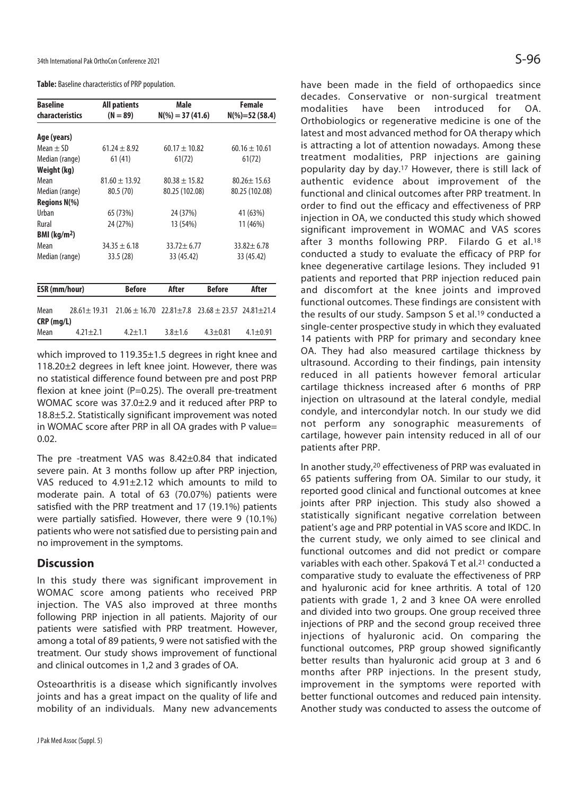**Table:** Baseline characteristics of PRP population.

| <b>Baseline</b>            |                   | <b>All patients</b> | Male              |               | Female                             |  |
|----------------------------|-------------------|---------------------|-------------------|---------------|------------------------------------|--|
| characteristics            | $(N = 89)$        |                     | $N(\%)=37(41.6)$  |               | $N(\%)=52(58.4)$                   |  |
|                            |                   |                     |                   |               |                                    |  |
| Age (years)                |                   |                     |                   |               |                                    |  |
| $Mean + SD$                | $61.24 + 8.92$    |                     | $60.17 + 10.82$   |               | $60.16 + 10.61$                    |  |
| Median (range)             | 61(41)            |                     | 61(72)            |               | 61(72)                             |  |
| Weight (kg)                |                   |                     |                   |               |                                    |  |
| Mean                       | $81.60 \pm 13.92$ |                     | $80.38 \pm 15.82$ |               | $80.26 + 15.63$                    |  |
| Median (range)             | 80.5 (70)         |                     | 80.25 (102.08)    |               | 80.25 (102.08)                     |  |
| <b>Regions N(%)</b>        |                   |                     |                   |               |                                    |  |
| Urban                      | 65 (73%)          |                     | 24 (37%)          |               | 41 (63%)                           |  |
| Rural                      | 24 (27%)          |                     | 13 (54%)          |               | 11 (46%)                           |  |
| $BMl$ (kg/m <sup>2</sup> ) |                   |                     |                   |               |                                    |  |
| Mean                       | $34.35 + 6.18$    |                     | $33.72 + 6.77$    |               | $33.82 + 6.78$                     |  |
| Median (range)             |                   | 33.5(28)            | 33 (45.42)        |               | 33 (45.42)                         |  |
|                            |                   |                     |                   |               |                                    |  |
| <b>ESR</b> (mm/hour)       |                   | <b>Before</b>       | After             | <b>Before</b> | After                              |  |
|                            |                   |                     |                   |               |                                    |  |
| Mean                       | $28.61 \pm 19.31$ | $21.06 \pm 16.70$   | $22.81 \pm 7.8$   |               | $23.68 \pm 23.57$ $24.81 \pm 21.4$ |  |
| $CRP$ (mg/L)               |                   |                     |                   |               |                                    |  |
| Mean                       | $4.21 + 2.1$      | $4.2 + 1.1$         | $3.8 + 1.6$       | $4.3 + 0.81$  | $4.1 \pm 0.91$                     |  |

which improved to 119.35±1.5 degrees in right knee and 118.20±2 degrees in left knee joint. However, there was no statistical difference found between pre and post PRP flexion at knee joint ( $P=0.25$ ). The overall pre-treatment WOMAC score was 37.0±2.9 and it reduced after PRP to 18.8±5.2. Statistically significant improvement was noted in WOMAC score after PRP in all OA grades with P value= 0.02.

The pre -treatment VAS was 8.42±0.84 that indicated severe pain. At 3 months follow up after PRP injection, VAS reduced to 4.91±2.12 which amounts to mild to moderate pain. A total of 63 (70.07%) patients were satisfied with the PRP treatment and 17 (19.1%) patients were partially satisfied. However, there were 9 (10.1%) patients who were not satisfied due to persisting pain and no improvement in the symptoms.

#### **Discussion**

In this study there was significant improvement in WOMAC score among patients who received PRP injection. The VAS also improved at three months following PRP injection in all patients. Majority of our patients were satisfied with PRP treatment. However, among a total of 89 patients, 9 were not satisfied with the treatment. Our study shows improvement of functional and clinical outcomes in 1,2 and 3 grades of OA.

Osteoarthritis is a disease which significantly involves joints and has a great impact on the quality of life and mobility of an individuals. Many new advancements

have been made in the field of orthopaedics since decades. Conservative or non-surgical treatment modalities have been introduced for OA. Orthobiologics or regenerative medicine is one of the latest and most advanced method for OA therapy which is attracting a lot of attention nowadays. Among these treatment modalities, PRP injections are gaining popularity day by day.17 However, there is still lack of authentic evidence about improvement of the functional and clinical outcomes after PRP treatment. In order to find out the efficacy and effectiveness of PRP injection in OA, we conducted this study which showed significant improvement in WOMAC and VAS scores after 3 months following PRP. Filardo G et al.<sup>18</sup> conducted a study to evaluate the efficacy of PRP for knee degenerative cartilage lesions. They included 91 patients and reported that PRP injection reduced pain and discomfort at the knee joints and improved functional outcomes. These findings are consistent with the results of our study. Sampson S et al.<sup>19</sup> conducted a single-center prospective study in which they evaluated 14 patients with PRP for primary and secondary knee OA. They had also measured cartilage thickness by ultrasound. According to their findings, pain intensity reduced in all patients however femoral articular cartilage thickness increased after 6 months of PRP injection on ultrasound at the lateral condyle, medial condyle, and intercondylar notch. In our study we did not perform any sonographic measurements of cartilage, however pain intensity reduced in all of our patients after PRP.

In another study,20 effectiveness of PRP was evaluated in 65 patients suffering from OA. Similar to our study, it reported good clinical and functional outcomes at knee joints after PRP injection. This study also showed a statistically significant negative correlation between patient's age and PRP potential in VAS score and IKDC. In the current study, we only aimed to see clinical and functional outcomes and did not predict or compare variables with each other. Spaková T et al.<sup>21</sup> conducted a comparative study to evaluate the effectiveness of PRP and hyaluronic acid for knee arthritis. A total of 120 patients with grade 1, 2 and 3 knee OA were enrolled and divided into two groups. One group received three injections of PRP and the second group received three injections of hyaluronic acid. On comparing the functional outcomes, PRP group showed significantly better results than hyaluronic acid group at 3 and 6 months after PRP injections. In the present study, improvement in the symptoms were reported with better functional outcomes and reduced pain intensity. Another study was conducted to assess the outcome of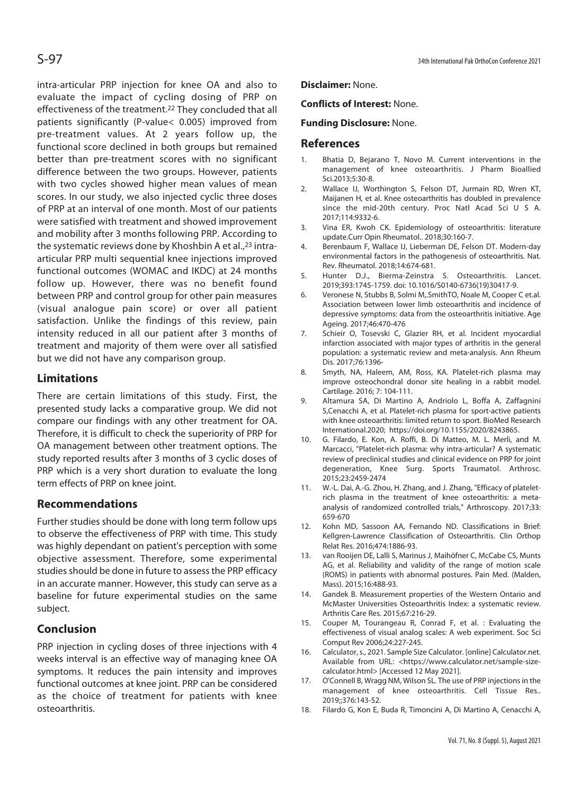intra-articular PRP injection for knee OA and also to evaluate the impact of cycling dosing of PRP on effectiveness of the treatment.<sup>22</sup> They concluded that all patients significantly (P-value< 0.005) improved from pre-treatment values. At 2 years follow up, the functional score declined in both groups but remained better than pre-treatment scores with no significant difference between the two groups. However, patients with two cycles showed higher mean values of mean scores. In our study, we also injected cyclic three doses of PRP at an interval of one month. Most of our patients were satisfied with treatment and showed improvement and mobility after 3 months following PRP. According to the systematic reviews done by Khoshbin A et al.,23 intraarticular PRP multi sequential knee injections improved functional outcomes (WOMAC and IKDC) at 24 months follow up. However, there was no benefit found between PRP and control group for other pain measures (visual analogue pain score) or over all patient satisfaction. Unlike the findings of this review, pain intensity reduced in all our patient after 3 months of treatment and majority of them were over all satisfied but we did not have any comparison group.

## **Limitations**

There are certain limitations of this study. First, the presented study lacks a comparative group. We did not compare our findings with any other treatment for OA. Therefore, it is difficult to check the superiority of PRP for OA management between other treatment options. The study reported results after 3 months of 3 cyclic doses of PRP which is a very short duration to evaluate the long term effects of PRP on knee joint.

## **Recommendations**

Further studies should be done with long term follow ups to observe the effectiveness of PRP with time. This study was highly dependant on patient's perception with some objective assessment. Therefore, some experimental studies should be done in future to assess the PRP efficacy in an accurate manner. However, this study can serve as a baseline for future experimental studies on the same subject.

## **Conclusion**

PRP injection in cycling doses of three injections with 4 weeks interval is an effective way of managing knee OA symptoms. It reduces the pain intensity and improves functional outcomes at knee joint. PRP can be considered as the choice of treatment for patients with knee osteoarthritis.

#### **Disclaimer:** None.

#### **Conflicts of Interest:** None.

#### **Funding Disclosure:** None.

#### **References**

- 1. Bhatia D, Bejarano T, Novo M. Current interventions in the management of knee osteoarthritis. J Pharm Bioallied Sci.2013;5:30-8.
- 2. Wallace IJ, Worthington S, Felson DT, Jurmain RD, Wren KT, Maijanen H, et al. Knee osteoarthritis has doubled in prevalence since the mid-20th century. Proc Natl Acad Sci U S A. 2017;114:9332-6.
- 3. Vina ER, Kwoh CK. Epidemiology of osteoarthritis: literature update.Curr Opin Rheumatol.. 2018;30:160-7.
- 4. Berenbaum F, Wallace IJ, Lieberman DE, Felson DT. Modern-day environmental factors in the pathogenesis of osteoarthritis. Nat. Rev. Rheumatol. 2018;14:674-681.
- 5. Hunter D.J., Bierma-Zeinstra S. Osteoarthritis. Lancet. 2019;393:1745-1759. doi: 10.1016/S0140-6736(19)30417-9.
- 6. Veronese N, Stubbs B, Solmi M,.SmithTO, Noale M, Cooper C et.al. Association between lower limb osteoarthritis and incidence of depressive symptoms: data from the osteoarthritis initiative. Age Ageing. 2017;46:470-476
- 7. Schieir O, Tosevski C, Glazier RH, et al. Incident myocardial infarction associated with major types of arthritis in the general population: a systematic review and meta-analysis. Ann Rheum Dis. 2017;76:1396-
- 8. Smyth, NA, Haleem, AM, Ross, KA. Platelet-rich plasma may improve osteochondral donor site healing in a rabbit model. Cartilage. 2016; 7: 104-111.
- 9. Altamura SA, Di Martino A, Andriolo L, Boffa A, Zaffagnini S,Cenacchi A, et al. Platelet-rich plasma for sport-active patients with knee osteoarthritis: limited return to sport. BioMed Research International.2020; https://doi.org/10.1155/2020/8243865.
- 10. G. Filardo, E. Kon, A. Roffi, B. Di Matteo, M. L. Merli, and M. Marcacci, "Platelet-rich plasma: why intra-articular? A systematic review of preclinical studies and clinical evidence on PRP for joint degeneration, Knee Surg. Sports Traumatol. Arthrosc. 2015;23:2459-2474
- 11. W.-L. Dai, A.-G. Zhou, H. Zhang, and J. Zhang, "Efficacy of plateletrich plasma in the treatment of knee osteoarthritis: a metaanalysis of randomized controlled trials," Arthroscopy. 2017;33: 659-670
- 12. Kohn MD, Sassoon AA, Fernando ND. Classifications in Brief: Kellgren-Lawrence Classification of Osteoarthritis. Clin Orthop Relat Res. 2016;474:1886-93.
- 13. van Rooijen DE, Lalli S, Marinus J, Maihöfner C, McCabe CS, Munts AG, et al. Reliability and validity of the range of motion scale (ROMS) in patients with abnormal postures. Pain Med. (Malden, Mass). 2015;16:488-93.
- 14. Gandek B. Measurement properties of the Western Ontario and McMaster Universities Osteoarthritis Index: a systematic review. Arthritis Care Res. 2015;67:216-29.
- 15. Couper M, Tourangeau R, Conrad F, et al. : Evaluating the effectiveness of visual analog scales: A web experiment. Soc Sci Comput Rev 2006;24:227-245.
- 16. Calculator, s., 2021. Sample Size Calculator. [online] Calculator.net. Available from URL: <https://www.calculator.net/sample-sizecalculator.html> [Accessed 12 May 2021].
- 17. O'Connell B, Wragg NM, Wilson SL. The use of PRP injections in the management of knee osteoarthritis. Cell Tissue Res.. 2019;;376:143-52.
- 18. Filardo G, Kon E, Buda R, Timoncini A, Di Martino A, Cenacchi A,